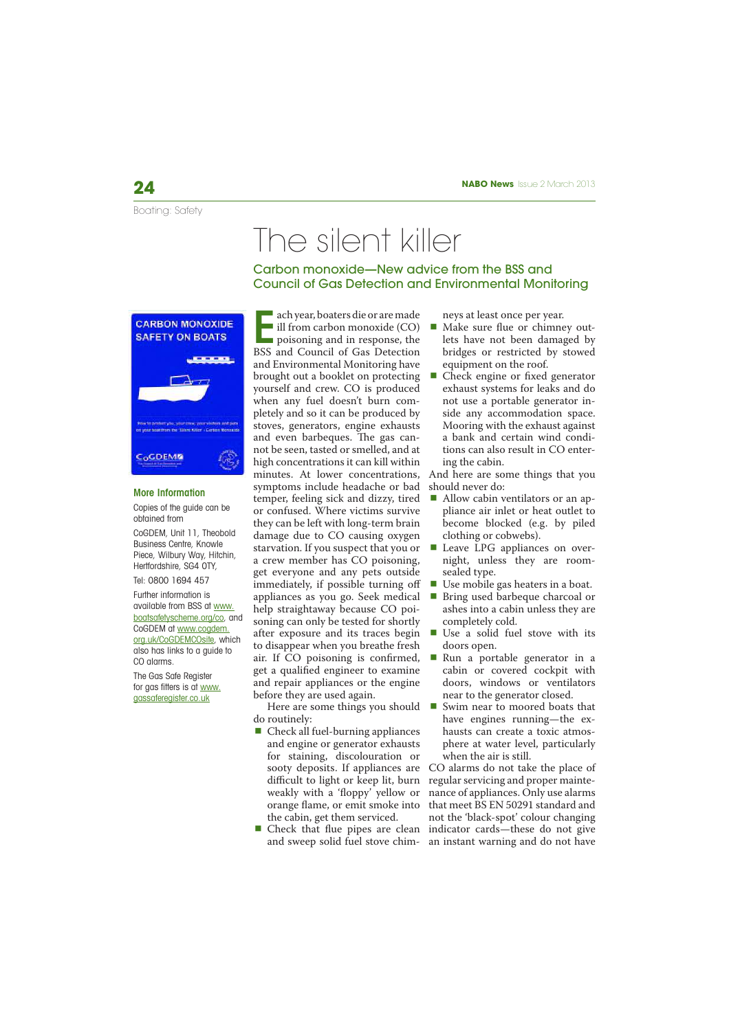Boating: Safety

# The silent killer

Carbon monoxide—New advice from the BSS and Council of Gas Detection and Environmental Monitoring



### More Information

Copies of the guide can be obtained from CoGDEM, Unit 11, Theobold Business Centre, Knowle Piece, Wilbury Way, Hitchin, Hertfordshire, SG4 0TY,

## Tel: 0800 1694 457

Further information is available from BSS at www. boatsafetyscheme.org/co, and CoGDEM at www.cogdem. org.uk/CoGDEMCOsite, which also has links to a guide to CO alarms.

The Gas Safe Register for gas fitters is at www. gassaferegister.co.uk

E ach year, boaters die or are made ill from carbon monoxide (CO) poisoning and in response, the BSS and Council of Gas Detection and Environmental Monitoring have brought out a booklet on protecting yourself and crew. CO is produced when any fuel doesn't burn completely and so it can be produced by stoves, generators, engine exhausts and even barbeques. The gas cannot be seen, tasted or smelled, and at high concentrations it can kill within minutes. At lower concentrations, symptoms include headache or bad temper, feeling sick and dizzy, tired or confused. Where victims survive they can be left with long-term brain damage due to CO causing oxygen starvation. If you suspect that you or a crew member has CO poisoning, get everyone and any pets outside immediately, if possible turning off appliances as you go. Seek medical help straightaway because CO poisoning can only be tested for shortly after exposure and its traces begin to disappear when you breathe fresh air. If CO poisoning is confirmed, get a qualified engineer to examine and repair appliances or the engine before they are used again.

Here are some things you should ■ do routinely:

- $\blacksquare$  Check all fuel-burning appliances and engine or generator exhausts for staining, discolouration or sooty deposits. If appliances are difficult to light or keep lit, burn weakly with a 'floppy' yellow or orange flame, or emit smoke into the cabin, get them serviced.
- Check that flue pipes are clean and sweep solid fuel stove chim-an instant warning and do not have

neys at least once per year.

- Make sure flue or chimney outlets have not been damaged by bridges or restricted by stowed equipment on the roof.
- Check engine or fixed generator exhaust systems for leaks and do not use a portable generator inside any accommodation space. Mooring with the exhaust against a bank and certain wind conditions can also result in CO entering the cabin.

And here are some things that you should never do:

- Allow cabin ventilators or an appliance air inlet or heat outlet to become blocked (e.g. by piled clothing or cobwebs).
- **Leave LPG** appliances on overnight, unless they are roomsealed type.
- Use mobile gas heaters in a boat.
- Bring used barbeque charcoal or ashes into a cabin unless they are completely cold.
- Use a solid fuel stove with its doors open.
- Run a portable generator in a cabin or covered cockpit with doors, windows or ventilators near to the generator closed.
- Swim near to moored boats that have engines running—the exhausts can create a toxic atmosphere at water level, particularly when the air is still.

CO alarms do not take the place of regular servicing and proper maintenance of appliances. Only use alarms that meet BS EN 50291 standard and not the 'black-spot' colour changing indicator cards—these do not give